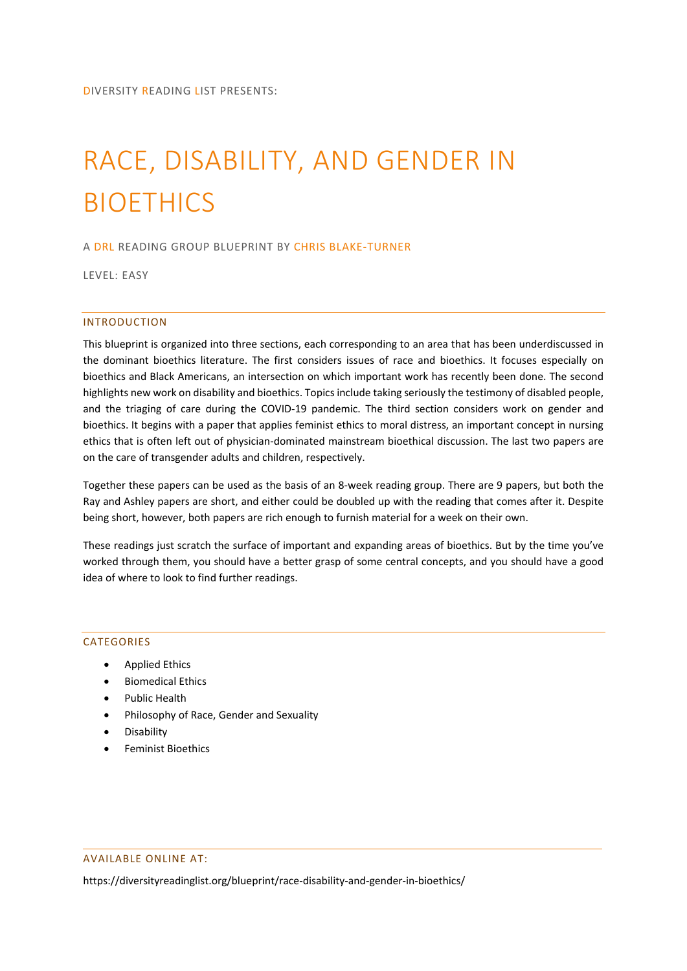# RACE, DISABILITY, AND GENDER IN BIOETHICS

## A DRL READING GROUP BLUEPRINT BY CHRIS BLAKE-TURNER

LEVEL: EASY

## INTRODUCTION

This blueprint is organized into three sections, each corresponding to an area that has been underdiscussed in the dominant bioethics literature. The first considers issues of race and bioethics. It focuses especially on bioethics and Black Americans, an intersection on which important work has recently been done. The second highlights new work on disability and bioethics. Topics include taking seriously the testimony of disabled people, and the triaging of care during the COVID-19 pandemic. The third section considers work on gender and bioethics. It begins with a paper that applies feminist ethics to moral distress, an important concept in nursing ethics that is often left out of physician-dominated mainstream bioethical discussion. The last two papers are on the care of transgender adults and children, respectively.

Together these papers can be used as the basis of an 8-week reading group. There are 9 papers, but both the Ray and Ashley papers are short, and either could be doubled up with the reading that comes after it. Despite being short, however, both papers are rich enough to furnish material for a week on their own.

These readings just scratch the surface of important and expanding areas of bioethics. But by the time you've worked through them, you should have a better grasp of some central concepts, and you should have a good idea of where to look to find further readings.

## **CATEGORIES**

- Applied Ethics
- Biomedical Ethics
- Public Health
- Philosophy of Race, Gender and Sexuality
- Disability
- Feminist Bioethics

## AVAILABLE ONLINE AT:

https://diversityreadinglist.org/blueprint/race-disability-and-gender-in-bioethics/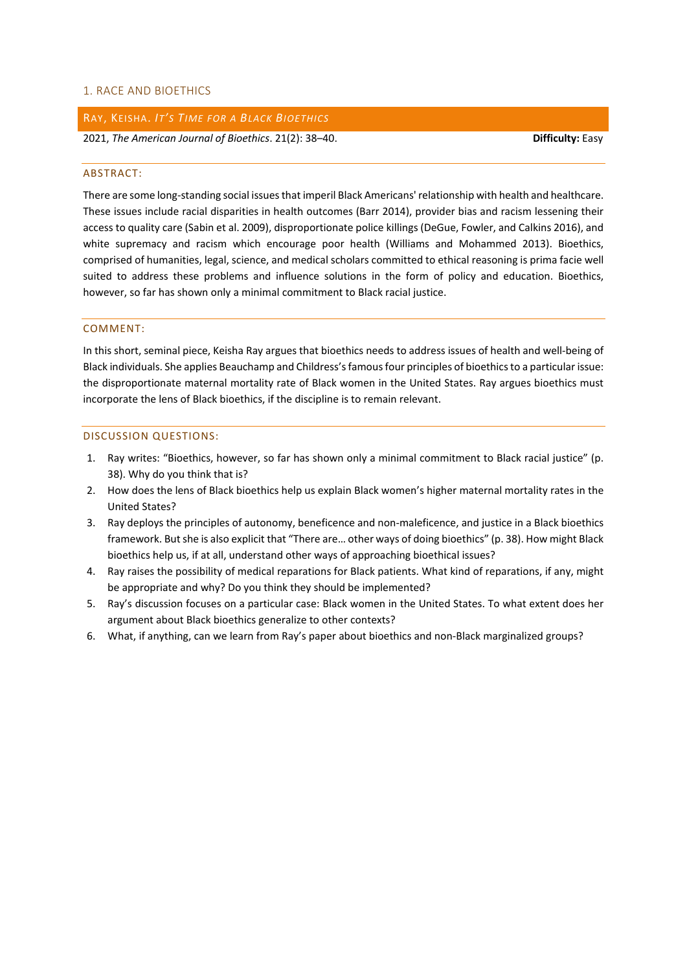## 1. RACE AND BIOETHICS

## RAY, KEISHA. *IT'S TIME FOR A BLACK BIOETHICS*

2021, *The American Journal of Bioethics*. 21(2): 38–40. **Difficulty:** Easy

#### ABSTRACT:

There are some long-standing social issues that imperil Black Americans' relationship with health and healthcare. These issues include racial disparities in health outcomes (Barr 2014), provider bias and racism lessening their access to quality care (Sabin et al. 2009), disproportionate police killings (DeGue, Fowler, and Calkins 2016), and white supremacy and racism which encourage poor health (Williams and Mohammed 2013). Bioethics, comprised of humanities, legal, science, and medical scholars committed to ethical reasoning is prima facie well suited to address these problems and influence solutions in the form of policy and education. Bioethics, however, so far has shown only a minimal commitment to Black racial justice.

### COMMENT:

In this short, seminal piece, Keisha Ray argues that bioethics needs to address issues of health and well-being of Black individuals. She applies Beauchamp and Childress's famous four principles of bioethics to a particular issue: the disproportionate maternal mortality rate of Black women in the United States. Ray argues bioethics must incorporate the lens of Black bioethics, if the discipline is to remain relevant.

- 1. Ray writes: "Bioethics, however, so far has shown only a minimal commitment to Black racial justice" (p. 38). Why do you think that is?
- 2. How does the lens of Black bioethics help us explain Black women's higher maternal mortality rates in the United States?
- 3. Ray deploys the principles of autonomy, beneficence and non-maleficence, and justice in a Black bioethics framework. But she is also explicit that "There are… other ways of doing bioethics" (p. 38). How might Black bioethics help us, if at all, understand other ways of approaching bioethical issues?
- 4. Ray raises the possibility of medical reparations for Black patients. What kind of reparations, if any, might be appropriate and why? Do you think they should be implemented?
- 5. Ray's discussion focuses on a particular case: Black women in the United States. To what extent does her argument about Black bioethics generalize to other contexts?
- 6. What, if anything, can we learn from Ray's paper about bioethics and non-Black marginalized groups?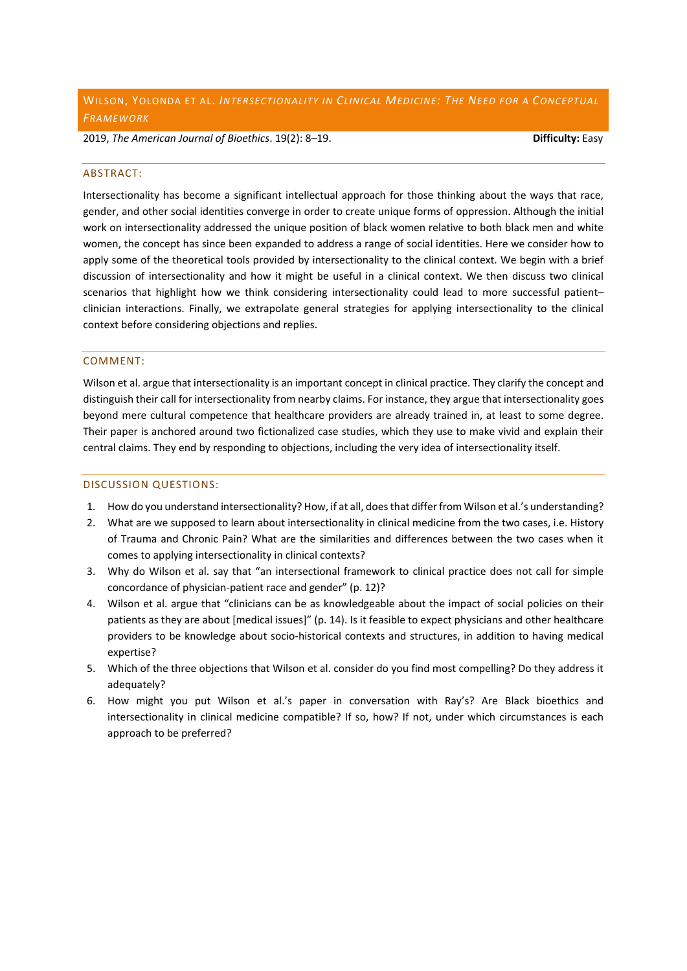2019, *The American Journal of Bioethics*. 19(2): 8–19. **Difficulty:** Easy

#### ABSTRACT:

Intersectionality has become a significant intellectual approach for those thinking about the ways that race, gender, and other social identities converge in order to create unique forms of oppression. Although the initial work on intersectionality addressed the unique position of black women relative to both black men and white women, the concept has since been expanded to address a range of social identities. Here we consider how to apply some of the theoretical tools provided by intersectionality to the clinical context. We begin with a brief discussion of intersectionality and how it might be useful in a clinical context. We then discuss two clinical scenarios that highlight how we think considering intersectionality could lead to more successful patient– clinician interactions. Finally, we extrapolate general strategies for applying intersectionality to the clinical context before considering objections and replies.

## COMMENT:

Wilson et al. argue that intersectionality is an important concept in clinical practice. They clarify the concept and distinguish their call for intersectionality from nearby claims. For instance, they argue that intersectionality goes beyond mere cultural competence that healthcare providers are already trained in, at least to some degree. Their paper is anchored around two fictionalized case studies, which they use to make vivid and explain their central claims. They end by responding to objections, including the very idea of intersectionality itself.

- 1. How do you understand intersectionality? How, if at all, does that differ from Wilson et al.'s understanding?
- 2. What are we supposed to learn about intersectionality in clinical medicine from the two cases, i.e. History of Trauma and Chronic Pain? What are the similarities and differences between the two cases when it comes to applying intersectionality in clinical contexts?
- 3. Why do Wilson et al. say that "an intersectional framework to clinical practice does not call for simple concordance of physician-patient race and gender" (p. 12)?
- 4. Wilson et al. argue that "clinicians can be as knowledgeable about the impact of social policies on their patients as they are about [medical issues]" (p. 14). Is it feasible to expect physicians and other healthcare providers to be knowledge about socio-historical contexts and structures, in addition to having medical expertise?
- 5. Which of the three objections that Wilson et al. consider do you find most compelling? Do they address it adequately?
- 6. How might you put Wilson et al.'s paper in conversation with Ray's? Are Black bioethics and intersectionality in clinical medicine compatible? If so, how? If not, under which circumstances is each approach to be preferred?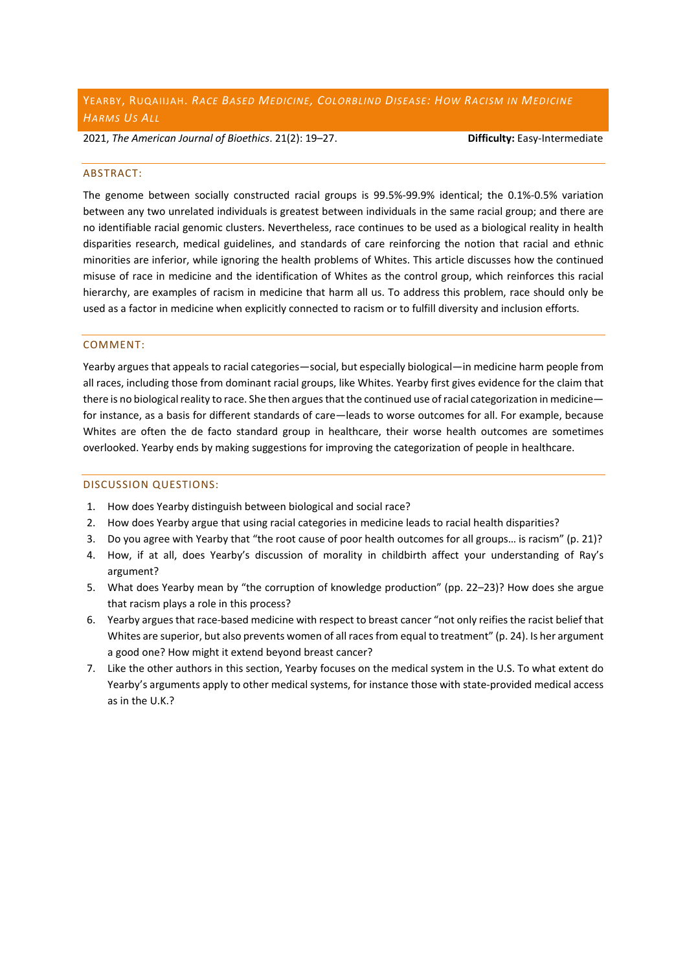2021, *The American Journal of Bioethics*. 21(2): 19–27. **Difficulty:** Easy-Intermediate

#### ABSTRACT:

The genome between socially constructed racial groups is 99.5%-99.9% identical; the 0.1%-0.5% variation between any two unrelated individuals is greatest between individuals in the same racial group; and there are no identifiable racial genomic clusters. Nevertheless, race continues to be used as a biological reality in health disparities research, medical guidelines, and standards of care reinforcing the notion that racial and ethnic minorities are inferior, while ignoring the health problems of Whites. This article discusses how the continued misuse of race in medicine and the identification of Whites as the control group, which reinforces this racial hierarchy, are examples of racism in medicine that harm all us. To address this problem, race should only be used as a factor in medicine when explicitly connected to racism or to fulfill diversity and inclusion efforts.

## COMMENT:

Yearby argues that appeals to racial categories—social, but especially biological—in medicine harm people from all races, including those from dominant racial groups, like Whites. Yearby first gives evidence for the claim that there is no biological reality to race. She then argues that the continued use of racial categorization in medicine for instance, as a basis for different standards of care—leads to worse outcomes for all. For example, because Whites are often the de facto standard group in healthcare, their worse health outcomes are sometimes overlooked. Yearby ends by making suggestions for improving the categorization of people in healthcare.

- 1. How does Yearby distinguish between biological and social race?
- 2. How does Yearby argue that using racial categories in medicine leads to racial health disparities?
- 3. Do you agree with Yearby that "the root cause of poor health outcomes for all groups… is racism" (p. 21)?
- 4. How, if at all, does Yearby's discussion of morality in childbirth affect your understanding of Ray's argument?
- 5. What does Yearby mean by "the corruption of knowledge production" (pp. 22–23)? How does she argue that racism plays a role in this process?
- 6. Yearby argues that race-based medicine with respect to breast cancer "not only reifies the racist belief that Whites are superior, but also prevents women of all races from equal to treatment" (p. 24). Is her argument a good one? How might it extend beyond breast cancer?
- 7. Like the other authors in this section, Yearby focuses on the medical system in the U.S. To what extent do Yearby's arguments apply to other medical systems, for instance those with state-provided medical access as in the U.K.?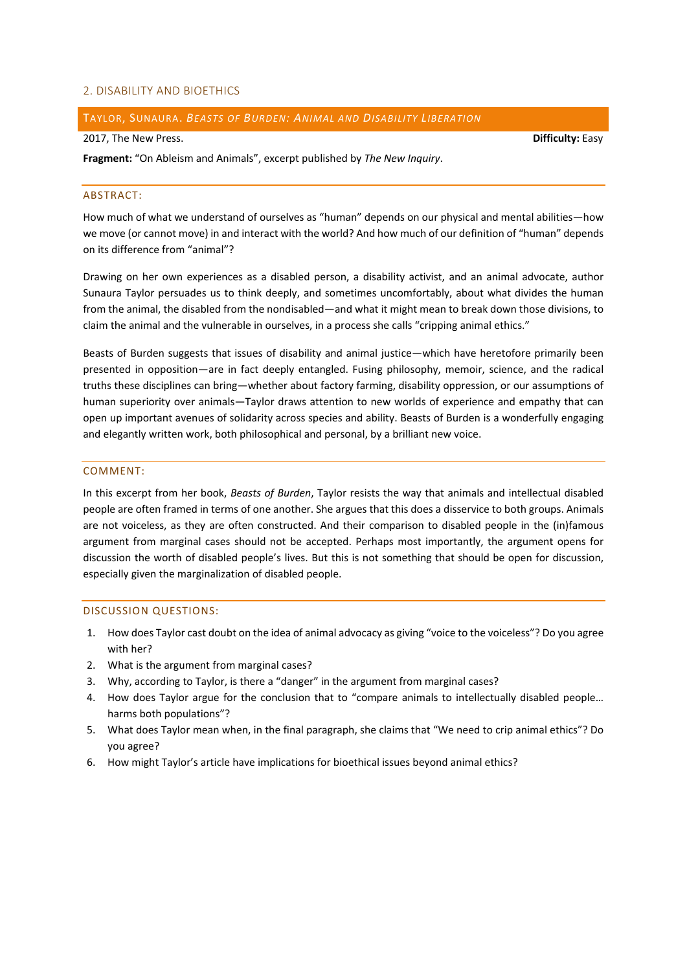## 2. DISABILITY AND BIOETHICS

## TAYLOR, SUNAURA. *BEASTS OF BURDEN: ANIMAL AND DISABILITY LIBERATION*

#### 2017, The New Press. **Difficulty:** Easy

**Fragment:** "On Ableism and Animals", excerpt published by *The New Inquiry*.

## ABSTRACT:

How much of what we understand of ourselves as "human" depends on our physical and mental abilities—how we move (or cannot move) in and interact with the world? And how much of our definition of "human" depends on its difference from "animal"?

Drawing on her own experiences as a disabled person, a disability activist, and an animal advocate, author Sunaura Taylor persuades us to think deeply, and sometimes uncomfortably, about what divides the human from the animal, the disabled from the nondisabled—and what it might mean to break down those divisions, to claim the animal and the vulnerable in ourselves, in a process she calls "cripping animal ethics."

Beasts of Burden suggests that issues of disability and animal justice—which have heretofore primarily been presented in opposition—are in fact deeply entangled. Fusing philosophy, memoir, science, and the radical truths these disciplines can bring—whether about factory farming, disability oppression, or our assumptions of human superiority over animals—Taylor draws attention to new worlds of experience and empathy that can open up important avenues of solidarity across species and ability. Beasts of Burden is a wonderfully engaging and elegantly written work, both philosophical and personal, by a brilliant new voice.

#### COMMENT:

In this excerpt from her book, *Beasts of Burden*, Taylor resists the way that animals and intellectual disabled people are often framed in terms of one another. She argues that this does a disservice to both groups. Animals are not voiceless, as they are often constructed. And their comparison to disabled people in the (in)famous argument from marginal cases should not be accepted. Perhaps most importantly, the argument opens for discussion the worth of disabled people's lives. But this is not something that should be open for discussion, especially given the marginalization of disabled people.

- 1. How does Taylor cast doubt on the idea of animal advocacy as giving "voice to the voiceless"? Do you agree with her?
- 2. What is the argument from marginal cases?
- 3. Why, according to Taylor, is there a "danger" in the argument from marginal cases?
- 4. How does Taylor argue for the conclusion that to "compare animals to intellectually disabled people… harms both populations"?
- 5. What does Taylor mean when, in the final paragraph, she claims that "We need to crip animal ethics"? Do you agree?
- 6. How might Taylor's article have implications for bioethical issues beyond animal ethics?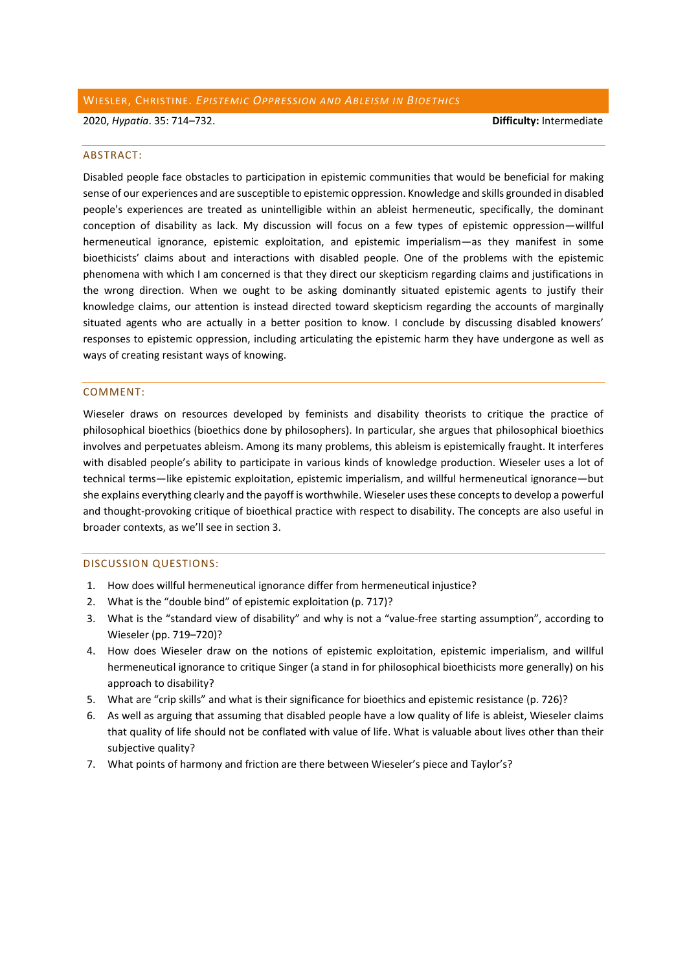## WIESLER, CHRISTINE. *EPISTEMIC OPPRESSION AND ABLEISM IN BIOETHICS*

2020, *Hypatia*. 35: 714–732. **Difficulty:** Intermediate

#### ABSTRACT:

Disabled people face obstacles to participation in epistemic communities that would be beneficial for making sense of our experiences and are susceptible to epistemic oppression. Knowledge and skills grounded in disabled people's experiences are treated as unintelligible within an ableist hermeneutic, specifically, the dominant conception of disability as lack. My discussion will focus on a few types of epistemic oppression—willful hermeneutical ignorance, epistemic exploitation, and epistemic imperialism—as they manifest in some bioethicists' claims about and interactions with disabled people. One of the problems with the epistemic phenomena with which I am concerned is that they direct our skepticism regarding claims and justifications in the wrong direction. When we ought to be asking dominantly situated epistemic agents to justify their knowledge claims, our attention is instead directed toward skepticism regarding the accounts of marginally situated agents who are actually in a better position to know. I conclude by discussing disabled knowers' responses to epistemic oppression, including articulating the epistemic harm they have undergone as well as ways of creating resistant ways of knowing.

#### COMMENT:

Wieseler draws on resources developed by feminists and disability theorists to critique the practice of philosophical bioethics (bioethics done by philosophers). In particular, she argues that philosophical bioethics involves and perpetuates ableism. Among its many problems, this ableism is epistemically fraught. It interferes with disabled people's ability to participate in various kinds of knowledge production. Wieseler uses a lot of technical terms—like epistemic exploitation, epistemic imperialism, and willful hermeneutical ignorance—but she explains everything clearly and the payoff is worthwhile. Wieseler uses these concepts to develop a powerful and thought-provoking critique of bioethical practice with respect to disability. The concepts are also useful in broader contexts, as we'll see in section 3.

- 1. How does willful hermeneutical ignorance differ from hermeneutical injustice?
- 2. What is the "double bind" of epistemic exploitation (p. 717)?
- 3. What is the "standard view of disability" and why is not a "value-free starting assumption", according to Wieseler (pp. 719–720)?
- 4. How does Wieseler draw on the notions of epistemic exploitation, epistemic imperialism, and willful hermeneutical ignorance to critique Singer (a stand in for philosophical bioethicists more generally) on his approach to disability?
- 5. What are "crip skills" and what is their significance for bioethics and epistemic resistance (p. 726)?
- 6. As well as arguing that assuming that disabled people have a low quality of life is ableist, Wieseler claims that quality of life should not be conflated with value of life. What is valuable about lives other than their subjective quality?
- 7. What points of harmony and friction are there between Wieseler's piece and Taylor's?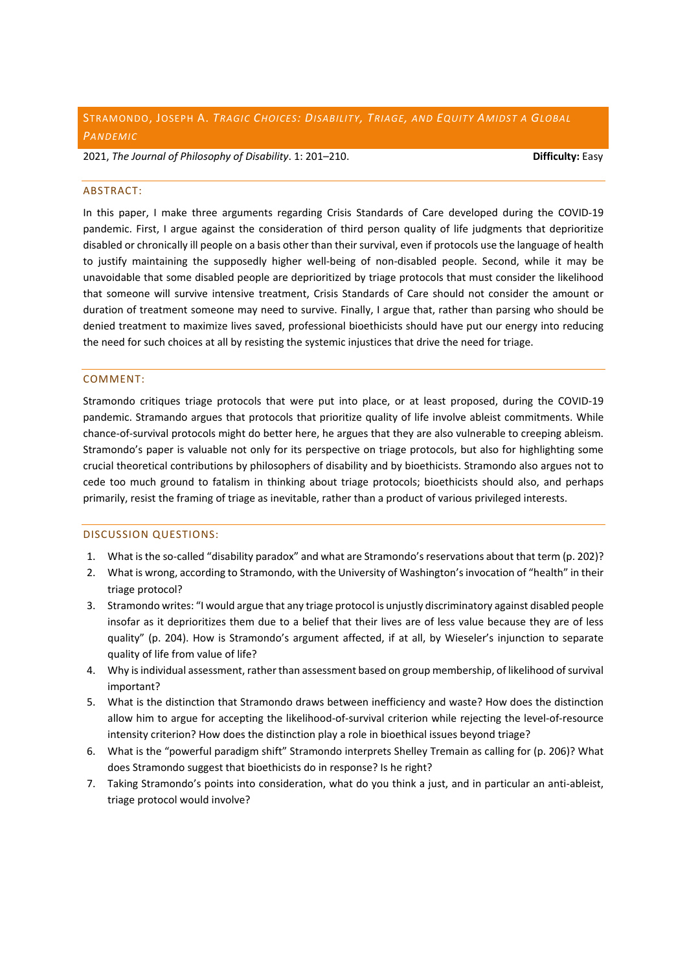# STRAMONDO, JOSEPH A. *TRAGIC CHOICES: DISABILITY, TRIAGE, AND EQUITY AMIDST A GLOBAL PANDEMIC*

2021, *The Journal of Philosophy of Disability*. 1: 201–210. **Difficulty:** Easy

#### ABSTRACT:

In this paper, I make three arguments regarding Crisis Standards of Care developed during the COVID-19 pandemic. First, I argue against the consideration of third person quality of life judgments that deprioritize disabled or chronically ill people on a basis other than their survival, even if protocols use the language of health to justify maintaining the supposedly higher well-being of non-disabled people. Second, while it may be unavoidable that some disabled people are deprioritized by triage protocols that must consider the likelihood that someone will survive intensive treatment, Crisis Standards of Care should not consider the amount or duration of treatment someone may need to survive. Finally, I argue that, rather than parsing who should be denied treatment to maximize lives saved, professional bioethicists should have put our energy into reducing the need for such choices at all by resisting the systemic injustices that drive the need for triage.

## COMMENT:

Stramondo critiques triage protocols that were put into place, or at least proposed, during the COVID-19 pandemic. Stramando argues that protocols that prioritize quality of life involve ableist commitments. While chance-of-survival protocols might do better here, he argues that they are also vulnerable to creeping ableism. Stramondo's paper is valuable not only for its perspective on triage protocols, but also for highlighting some crucial theoretical contributions by philosophers of disability and by bioethicists. Stramondo also argues not to cede too much ground to fatalism in thinking about triage protocols; bioethicists should also, and perhaps primarily, resist the framing of triage as inevitable, rather than a product of various privileged interests.

- 1. What is the so-called "disability paradox" and what are Stramondo's reservations about that term (p. 202)?
- 2. What is wrong, according to Stramondo, with the University of Washington'sinvocation of "health" in their triage protocol?
- 3. Stramondo writes: "I would argue that any triage protocol is unjustly discriminatory against disabled people insofar as it deprioritizes them due to a belief that their lives are of less value because they are of less quality" (p. 204). How is Stramondo's argument affected, if at all, by Wieseler's injunction to separate quality of life from value of life?
- 4. Why is individual assessment, rather than assessment based on group membership, of likelihood of survival important?
- 5. What is the distinction that Stramondo draws between inefficiency and waste? How does the distinction allow him to argue for accepting the likelihood-of-survival criterion while rejecting the level-of-resource intensity criterion? How does the distinction play a role in bioethical issues beyond triage?
- 6. What is the "powerful paradigm shift" Stramondo interprets Shelley Tremain as calling for (p. 206)? What does Stramondo suggest that bioethicists do in response? Is he right?
- 7. Taking Stramondo's points into consideration, what do you think a just, and in particular an anti-ableist, triage protocol would involve?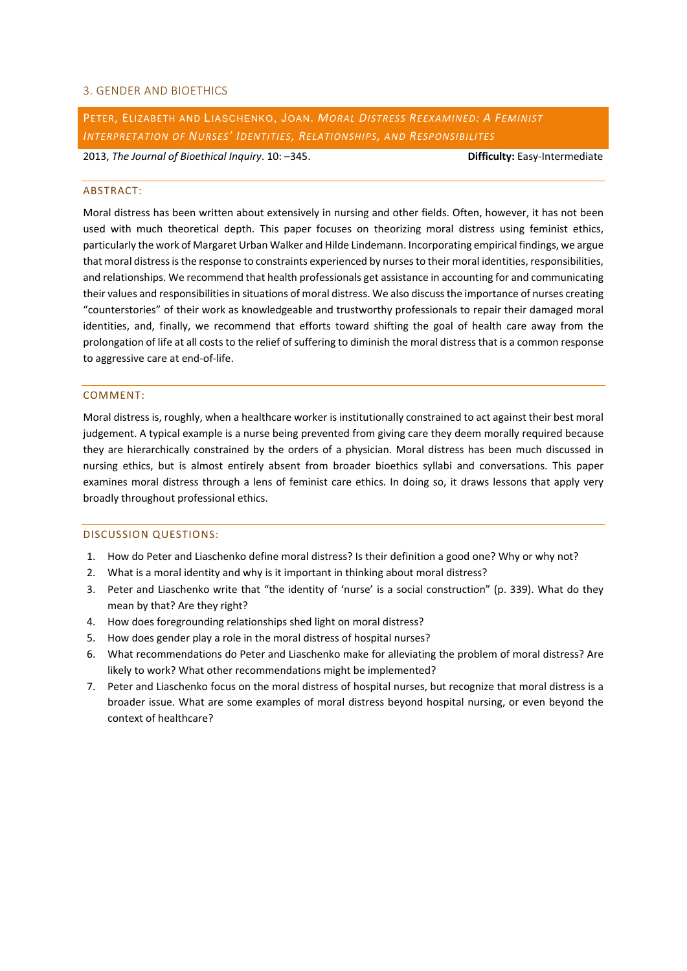## 3. GENDER AND BIOETHICS

PETER, ELIZABETH AND LIASCHENKO, JOAN. *MORAL DISTRESS REEXAMINED: A FEMINIST INTERPRETATION OF NURSES' IDENTITIES, RELATIONSHIPS, AND RESPONSIBILITES*

2013, *The Journal of Bioethical Inquiry*. 10: –345. **Difficulty:** Easy-Intermediate

#### ABSTRACT:

Moral distress has been written about extensively in nursing and other fields. Often, however, it has not been used with much theoretical depth. This paper focuses on theorizing moral distress using feminist ethics, particularly the work of Margaret Urban Walker and Hilde Lindemann. Incorporating empirical findings, we argue that moral distress is the response to constraints experienced by nurses to their moral identities, responsibilities, and relationships. We recommend that health professionals get assistance in accounting for and communicating their values and responsibilities in situations of moral distress. We also discuss the importance of nurses creating "counterstories" of their work as knowledgeable and trustworthy professionals to repair their damaged moral identities, and, finally, we recommend that efforts toward shifting the goal of health care away from the prolongation of life at all costs to the relief of suffering to diminish the moral distress that is a common response to aggressive care at end-of-life.

#### COMMENT:

Moral distress is, roughly, when a healthcare worker is institutionally constrained to act against their best moral judgement. A typical example is a nurse being prevented from giving care they deem morally required because they are hierarchically constrained by the orders of a physician. Moral distress has been much discussed in nursing ethics, but is almost entirely absent from broader bioethics syllabi and conversations. This paper examines moral distress through a lens of feminist care ethics. In doing so, it draws lessons that apply very broadly throughout professional ethics.

- 1. How do Peter and Liaschenko define moral distress? Is their definition a good one? Why or why not?
- 2. What is a moral identity and why is it important in thinking about moral distress?
- 3. Peter and Liaschenko write that "the identity of 'nurse' is a social construction" (p. 339). What do they mean by that? Are they right?
- 4. How does foregrounding relationships shed light on moral distress?
- 5. How does gender play a role in the moral distress of hospital nurses?
- 6. What recommendations do Peter and Liaschenko make for alleviating the problem of moral distress? Are likely to work? What other recommendations might be implemented?
- 7. Peter and Liaschenko focus on the moral distress of hospital nurses, but recognize that moral distress is a broader issue. What are some examples of moral distress beyond hospital nursing, or even beyond the context of healthcare?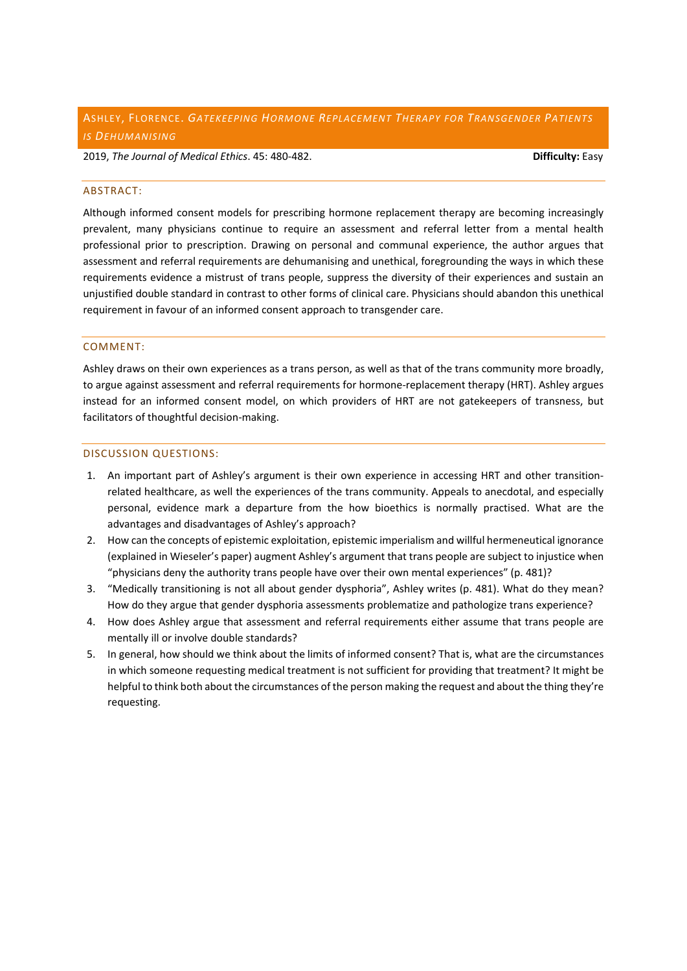## ASHLEY, FLORENCE. *GATEKEEPING HORMONE REPLACEMENT THERAPY FOR TRANSGENDER PATIENTS IS DEHUMANISING*

2019, *The Journal of Medical Ethics*. 45: 480-482. **Difficulty:** Easy

## ABSTRACT:

Although informed consent models for prescribing hormone replacement therapy are becoming increasingly prevalent, many physicians continue to require an assessment and referral letter from a mental health professional prior to prescription. Drawing on personal and communal experience, the author argues that assessment and referral requirements are dehumanising and unethical, foregrounding the ways in which these requirements evidence a mistrust of trans people, suppress the diversity of their experiences and sustain an unjustified double standard in contrast to other forms of clinical care. Physicians should abandon this unethical requirement in favour of an informed consent approach to transgender care.

## COMMENT:

Ashley draws on their own experiences as a trans person, as well as that of the trans community more broadly, to argue against assessment and referral requirements for hormone-replacement therapy (HRT). Ashley argues instead for an informed consent model, on which providers of HRT are not gatekeepers of transness, but facilitators of thoughtful decision-making.

- 1. An important part of Ashley's argument is their own experience in accessing HRT and other transitionrelated healthcare, as well the experiences of the trans community. Appeals to anecdotal, and especially personal, evidence mark a departure from the how bioethics is normally practised. What are the advantages and disadvantages of Ashley's approach?
- 2. How can the concepts of epistemic exploitation, epistemic imperialism and willful hermeneutical ignorance (explained in Wieseler's paper) augment Ashley's argument that trans people are subject to injustice when "physicians deny the authority trans people have over their own mental experiences" (p. 481)?
- 3. "Medically transitioning is not all about gender dysphoria", Ashley writes (p. 481). What do they mean? How do they argue that gender dysphoria assessments problematize and pathologize trans experience?
- 4. How does Ashley argue that assessment and referral requirements either assume that trans people are mentally ill or involve double standards?
- 5. In general, how should we think about the limits of informed consent? That is, what are the circumstances in which someone requesting medical treatment is not sufficient for providing that treatment? It might be helpful to think both about the circumstances of the person making the request and about the thing they're requesting.